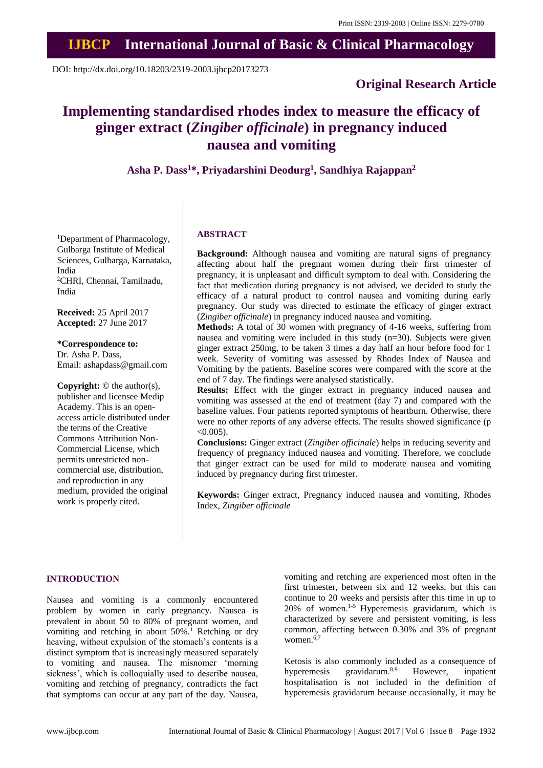# **IJBCP International Journal of Basic & Clinical Pharmacology**

DOI: http://dx.doi.org/10.18203/2319-2003.ijbcp20173273

# **Original Research Article**

# **Implementing standardised rhodes index to measure the efficacy of ginger extract (***Zingiber officinale***) in pregnancy induced nausea and vomiting**

**Asha P. Dass<sup>1</sup>\*, Priyadarshini Deodurg<sup>1</sup> , Sandhiya Rajappan<sup>2</sup>**

<sup>1</sup>Department of Pharmacology, Gulbarga Institute of Medical Sciences, Gulbarga, Karnataka, India <sup>2</sup>CHRI, Chennai, Tamilnadu, India

**Received:** 25 April 2017 **Accepted:** 27 June 2017

# **\*Correspondence to:**

Dr. Asha P. Dass, Email: ashapdass@gmail.com

**Copyright:** © the author(s), publisher and licensee Medip Academy. This is an openaccess article distributed under the terms of the Creative Commons Attribution Non-Commercial License, which permits unrestricted noncommercial use, distribution, and reproduction in any medium, provided the original work is properly cited.

### **ABSTRACT**

**Background:** Although nausea and vomiting are natural signs of pregnancy affecting about half the pregnant women during their first trimester of pregnancy, it is unpleasant and difficult symptom to deal with. Considering the fact that medication during pregnancy is not advised, we decided to study the efficacy of a natural product to control nausea and vomiting during early pregnancy. Our study was directed to estimate the efficacy of ginger extract (*Zingiber officinale*) in pregnancy induced nausea and vomiting.

**Methods:** A total of 30 women with pregnancy of 4-16 weeks, suffering from nausea and vomiting were included in this study  $(n=30)$ . Subjects were given ginger extract 250mg, to be taken 3 times a day half an hour before food for 1 week. Severity of vomiting was assessed by Rhodes Index of Nausea and Vomiting by the patients. Baseline scores were compared with the score at the end of 7 day. The findings were analysed statistically.

**Results:** Effect with the ginger extract in pregnancy induced nausea and vomiting was assessed at the end of treatment (day 7) and compared with the baseline values. Four patients reported symptoms of heartburn. Otherwise, there were no other reports of any adverse effects. The results showed significance (p  $< 0.005$ ).

**Conclusions:** Ginger extract (*Zingiber officinale*) helps in reducing severity and frequency of pregnancy induced nausea and vomiting. Therefore, we conclude that ginger extract can be used for mild to moderate nausea and vomiting induced by pregnancy during first trimester.

**Keywords:** Ginger extract, Pregnancy induced nausea and vomiting, Rhodes Index, *Zingiber officinale*

#### **INTRODUCTION**

Nausea and vomiting is a commonly encountered problem by women in early pregnancy. Nausea is prevalent in about 50 to 80% of pregnant women, and vomiting and retching in about 50%.<sup>1</sup> Retching or dry heaving, without expulsion of the stomach's contents is a distinct symptom that is increasingly measured separately to vomiting and nausea. The misnomer 'morning sickness', which is colloquially used to describe nausea, vomiting and retching of pregnancy, contradicts the fact that symptoms can occur at any part of the day. Nausea, vomiting and retching are experienced most often in the first trimester, between six and 12 weeks, but this can continue to 20 weeks and persists after this time in up to 20% of women. 1-5 Hyperemesis gravidarum, which is characterized by severe and persistent vomiting, is less common, affecting between 0.30% and 3% of pregnant women. 6,7

Ketosis is also commonly included as a consequence of hyperemesis gravidarum.<sup>8,9</sup> However, inpatient hospitalisation is not included in the definition of hyperemesis gravidarum because occasionally, it may be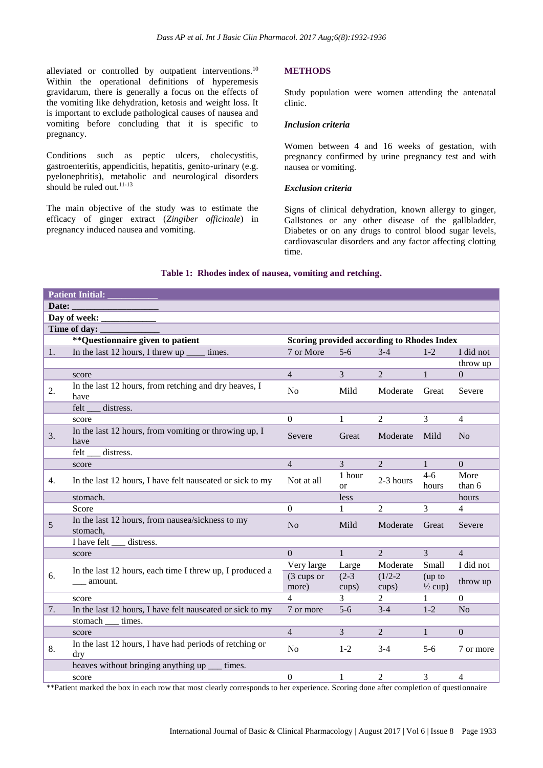alleviated or controlled by outpatient interventions.<sup>10</sup> Within the operational definitions of hyperemesis gravidarum, there is generally a focus on the effects of the vomiting like dehydration, ketosis and weight loss. It is important to exclude pathological causes of nausea and vomiting before concluding that it is specific to pregnancy.

Conditions such as peptic ulcers, cholecystitis, gastroenteritis, appendicitis, hepatitis, genito-urinary (e.g. pyelonephritis), metabolic and neurological disorders should be ruled out. 11-13

The main objective of the study was to estimate the efficacy of ginger extract (*Zingiber officinale*) in pregnancy induced nausea and vomiting.

# **METHODS**

Study population were women attending the antenatal clinic.

#### *Inclusion criteria*

Women between 4 and 16 weeks of gestation, with pregnancy confirmed by urine pregnancy test and with nausea or vomiting.

#### *Exclusion criteria*

Signs of clinical dehydration, known allergy to ginger, Gallstones or any other disease of the gallbladder, Diabetes or on any drugs to control blood sugar levels, cardiovascular disorders and any factor affecting clotting time.

| <b>Patient Initial:</b> |                                                                     |                                            |                         |                |                    |                          |  |  |  |
|-------------------------|---------------------------------------------------------------------|--------------------------------------------|-------------------------|----------------|--------------------|--------------------------|--|--|--|
| Date:                   |                                                                     |                                            |                         |                |                    |                          |  |  |  |
| Day of week:            |                                                                     |                                            |                         |                |                    |                          |  |  |  |
| Time of day:            |                                                                     |                                            |                         |                |                    |                          |  |  |  |
|                         | ** Questionnaire given to patient                                   | Scoring provided according to Rhodes Index |                         |                |                    |                          |  |  |  |
| 1.                      | In the last 12 hours, I threw up $\overline{\phantom{a}}$<br>times. | 7 or More                                  | $5 - 6$                 | $3-4$          | $1 - 2$            | I did not                |  |  |  |
|                         |                                                                     |                                            |                         |                |                    | throw up                 |  |  |  |
|                         | score                                                               | $\overline{4}$                             | $\overline{3}$          | $\overline{2}$ | $\mathbf{1}$       | $\Omega$                 |  |  |  |
| 2.                      | In the last 12 hours, from retching and dry heaves, I<br>have       | N <sub>o</sub>                             | Mild                    | Moderate       | Great              | Severe                   |  |  |  |
|                         | felt<br>distress.                                                   |                                            |                         |                |                    |                          |  |  |  |
|                         | score                                                               | $\Omega$                                   | $\mathbf{1}$            | 2              | 3                  | 4                        |  |  |  |
| 3.                      | In the last 12 hours, from vomiting or throwing up, I<br>have       | Severe                                     | Great                   | Moderate       | Mild               | N <sub>o</sub>           |  |  |  |
|                         | felt<br>distress.                                                   |                                            |                         |                |                    |                          |  |  |  |
|                         | score                                                               | $\overline{4}$                             | $\overline{3}$          | $\overline{2}$ | $\mathbf{1}$       | $\Omega$                 |  |  |  |
| 4.                      | In the last 12 hours, I have felt nauseated or sick to my           | Not at all                                 | 1 hour<br><sub>or</sub> | 2-3 hours      | $4 - 6$<br>hours   | More<br>than 6           |  |  |  |
|                         | stomach.                                                            |                                            | less                    |                |                    | hours                    |  |  |  |
|                         | Score                                                               | $\Omega$                                   | $\mathbf{1}$            | $\overline{2}$ | 3                  | 4                        |  |  |  |
| 5                       | In the last 12 hours, from nausea/sickness to my<br>stomach,        | N <sub>0</sub>                             | Mild                    | Moderate       | Great              | Severe                   |  |  |  |
|                         | I have felt<br>distress.                                            |                                            |                         |                |                    |                          |  |  |  |
|                         | score                                                               | $\Omega$                                   | $\mathbf{1}$            | 2              | 3                  | $\overline{\mathcal{L}}$ |  |  |  |
|                         | In the last 12 hours, each time I threw up, I produced a<br>amount. | Very large                                 | Large                   | Moderate       | Small              | I did not                |  |  |  |
| 6.                      |                                                                     | (3 cups or                                 | $(2-3)$                 | $(1/2-2)$      | (up to             | throw up                 |  |  |  |
|                         |                                                                     | more)                                      | cups)                   | cups)          | $\frac{1}{2}$ cup) |                          |  |  |  |
|                         | score                                                               | $\overline{4}$                             | 3                       | $\mathfrak{D}$ | $\mathbf{1}$       | $\Omega$                 |  |  |  |
| 7.                      | In the last 12 hours, I have felt nauseated or sick to my           | 7 or more                                  | $5-6$                   | $3-4$          | $1 - 2$            | N <sub>o</sub>           |  |  |  |
|                         | stomach __ times.                                                   |                                            |                         |                |                    |                          |  |  |  |
|                         | score                                                               | $\overline{4}$                             | 3                       | $\overline{2}$ | $\mathbf{1}$       | $\Omega$                 |  |  |  |
| 8.                      | In the last 12 hours, I have had periods of retching or<br>dry      | No                                         | $1 - 2$                 | $3-4$          | $5 - 6$            | 7 or more                |  |  |  |
|                         | heaves without bringing anything up<br>times.                       |                                            |                         |                |                    |                          |  |  |  |
|                         | score                                                               | $\boldsymbol{0}$                           | 1                       | $\overline{2}$ | 3                  | 4                        |  |  |  |

# **Table 1: Rhodes index of nausea, vomiting and retching.**

\*\*Patient marked the box in each row that most clearly corresponds to her experience. Scoring done after completion of questionnaire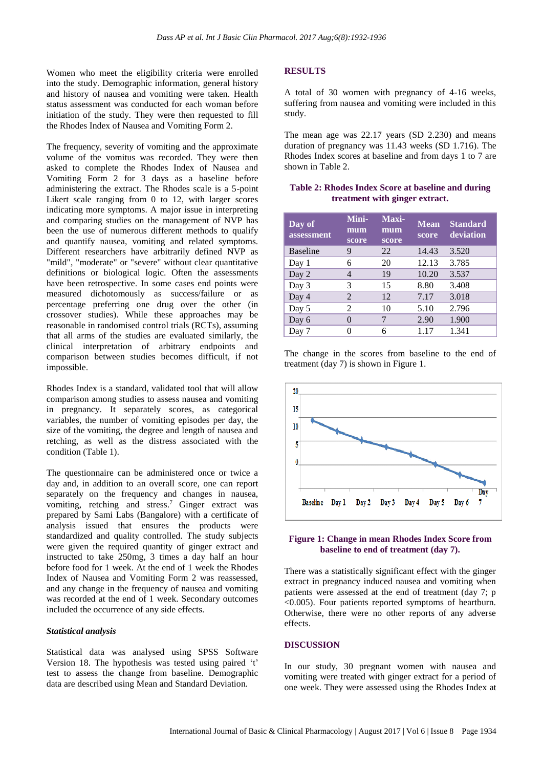Women who meet the eligibility criteria were enrolled into the study. Demographic information, general history and history of nausea and vomiting were taken. Health status assessment was conducted for each woman before initiation of the study. They were then requested to fill the Rhodes Index of Nausea and Vomiting Form 2.

The frequency, severity of vomiting and the approximate volume of the vomitus was recorded. They were then asked to complete the Rhodes Index of Nausea and Vomiting Form 2 for 3 days as a baseline before administering the extract. The Rhodes scale is a 5-point Likert scale ranging from 0 to 12, with larger scores indicating more symptoms. A major issue in interpreting and comparing studies on the management of NVP has been the use of numerous different methods to qualify and quantify nausea, vomiting and related symptoms. Different researchers have arbitrarily defined NVP as "mild", "moderate" or "severe" without clear quantitative definitions or biological logic. Often the assessments have been retrospective. In some cases end points were measured dichotomously as success/failure or as percentage preferring one drug over the other (in crossover studies). While these approaches may be reasonable in randomised control trials (RCTs), assuming that all arms of the studies are evaluated similarly, the clinical interpretation of arbitrary endpoints and comparison between studies becomes difficult, if not impossible.

Rhodes Index is a standard, validated tool that will allow comparison among studies to assess nausea and vomiting in pregnancy. It separately scores, as categorical variables, the number of vomiting episodes per day, the size of the vomiting, the degree and length of nausea and retching, as well as the distress associated with the condition (Table 1).

The questionnaire can be administered once or twice a day and, in addition to an overall score, one can report separately on the frequency and changes in nausea, vomiting, retching and stress. <sup>7</sup> Ginger extract was prepared by Sami Labs (Bangalore) with a certificate of analysis issued that ensures the products were standardized and quality controlled. The study subjects were given the required quantity of ginger extract and instructed to take 250mg, 3 times a day half an hour before food for 1 week. At the end of 1 week the Rhodes Index of Nausea and Vomiting Form 2 was reassessed, and any change in the frequency of nausea and vomiting was recorded at the end of 1 week. Secondary outcomes included the occurrence of any side effects.

#### *Statistical analysis*

Statistical data was analysed using SPSS Software Version 18. The hypothesis was tested using paired 't' test to assess the change from baseline. Demographic data are described using Mean and Standard Deviation.

#### **RESULTS**

A total of 30 women with pregnancy of 4-16 weeks, suffering from nausea and vomiting were included in this study.

The mean age was 22.17 years (SD 2.230) and means duration of pregnancy was 11.43 weeks (SD 1.716). The Rhodes Index scores at baseline and from days 1 to 7 are shown in Table 2.

| Table 2: Rhodes Index Score at baseline and during |  |  |  |  |  |  |  |
|----------------------------------------------------|--|--|--|--|--|--|--|
| treatment with ginger extract.                     |  |  |  |  |  |  |  |

| Day of<br>assessment | Mini-<br>mum<br>score | Maxi-<br>mum<br>score | <b>Mean</b><br>score | <b>Standard</b><br>deviation |
|----------------------|-----------------------|-----------------------|----------------------|------------------------------|
| <b>Baseline</b>      | 9                     | 22                    | 14.43                | 3.520                        |
| Day 1                | 6                     | 20                    | 12.13                | 3.785                        |
| Day 2                | 4                     | 19                    | 10.20                | 3.537                        |
| Day 3                | 3                     | 15                    | 8.80                 | 3.408                        |
| Day 4                | $\mathfrak{D}$        | 12                    | 7.17                 | 3.018                        |
| Day 5                | 2                     | 10                    | 5.10                 | 2.796                        |
| Day 6                | $\mathbf{\Omega}$     | 7                     | 2.90                 | 1.900                        |
| Day 7                |                       | 6                     | 1.17                 | 1.341                        |

The change in the scores from baseline to the end of treatment (day 7) is shown in Figure 1.



#### **Figure 1: Change in mean Rhodes Index Score from baseline to end of treatment (day 7).**

There was a statistically significant effect with the ginger extract in pregnancy induced nausea and vomiting when patients were assessed at the end of treatment (day 7; p <0.005). Four patients reported symptoms of heartburn. Otherwise, there were no other reports of any adverse effects.

## **DISCUSSION**

In our study, 30 pregnant women with nausea and vomiting were treated with ginger extract for a period of one week. They were assessed using the Rhodes Index at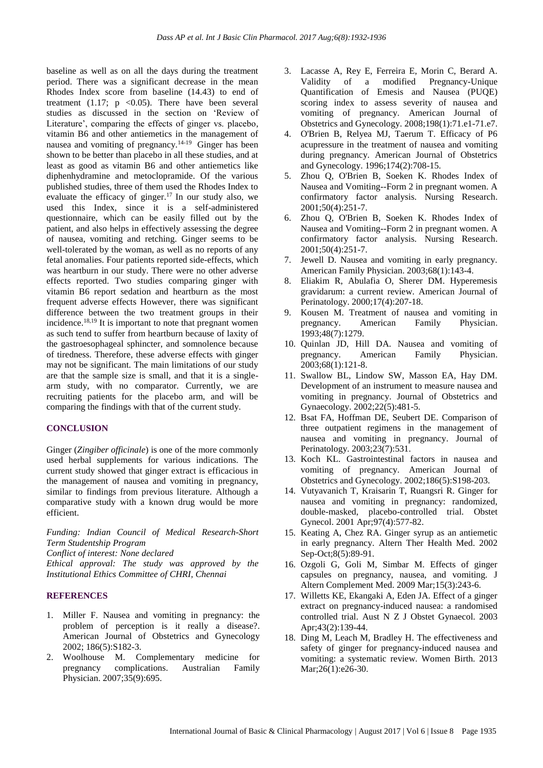baseline as well as on all the days during the treatment period. There was a significant decrease in the mean Rhodes Index score from baseline (14.43) to end of treatment  $(1.17; p \le 0.05)$ . There have been several studies as discussed in the section on 'Review of Literature', comparing the effects of ginger vs. placebo, vitamin B6 and other antiemetics in the management of nausea and vomiting of pregnancy.14-19 Ginger has been shown to be better than placebo in all these studies, and at least as good as vitamin B6 and other antiemetics like diphenhydramine and metoclopramide. Of the various published studies, three of them used the Rhodes Index to evaluate the efficacy of ginger.<sup>17</sup> In our study also, we used this Index, since it is a self-administered questionnaire, which can be easily filled out by the patient, and also helps in effectively assessing the degree of nausea, vomiting and retching. Ginger seems to be well-tolerated by the woman, as well as no reports of any fetal anomalies. Four patients reported side-effects, which was heartburn in our study. There were no other adverse effects reported. Two studies comparing ginger with vitamin B6 report sedation and heartburn as the most frequent adverse effects However, there was significant difference between the two treatment groups in their incidence. 18,19 It is important to note that pregnant women as such tend to suffer from heartburn because of laxity of the gastroesophageal sphincter, and somnolence because of tiredness. Therefore, these adverse effects with ginger may not be significant. The main limitations of our study are that the sample size is small, and that it is a singlearm study, with no comparator. Currently, we are recruiting patients for the placebo arm, and will be comparing the findings with that of the current study.

## **CONCLUSION**

Ginger (*Zingiber officinale*) is one of the more commonly used herbal supplements for various indications. The current study showed that ginger extract is efficacious in the management of nausea and vomiting in pregnancy, similar to findings from previous literature. Although a comparative study with a known drug would be more efficient.

*Funding: Indian Council of Medical Research-Short Term Studentship Program*

*Conflict of interest: None declared*

*Ethical approval: The study was approved by the Institutional Ethics Committee of CHRI, Chennai*

#### **REFERENCES**

- 1. Miller F. Nausea and vomiting in pregnancy: the problem of perception is it really a disease?. American Journal of Obstetrics and Gynecology 2002; 186(5):S182-3.
- 2. Woolhouse M. Complementary medicine for pregnancy complications. Australian Family Physician. 2007;35(9):695.
- 3. Lacasse A, Rey E, Ferreira E, Morin C, Berard A. Validity of a modified Pregnancy-Unique Quantification of Emesis and Nausea (PUQE) scoring index to assess severity of nausea and vomiting of pregnancy. American Journal of Obstetrics and Gynecology. 2008;198(1):71.e1-71.e7.
- 4. O'Brien B, Relyea MJ, Taerum T. Efficacy of P6 acupressure in the treatment of nausea and vomiting during pregnancy. American Journal of Obstetrics and Gynecology. 1996;174(2):708-15.
- 5. Zhou Q, O'Brien B, Soeken K. Rhodes Index of Nausea and Vomiting--Form 2 in pregnant women. A confirmatory factor analysis. Nursing Research. 2001;50(4):251-7.
- 6. Zhou Q, O'Brien B, Soeken K. Rhodes Index of Nausea and Vomiting--Form 2 in pregnant women. A confirmatory factor analysis. Nursing Research. 2001;50(4):251-7.
- 7. Jewell D. Nausea and vomiting in early pregnancy. American Family Physician. 2003;68(1):143-4.
- 8. Eliakim R, Abulafia O, Sherer DM. Hyperemesis gravidarum: a current review. American Journal of Perinatology. 2000;17(4):207-18.
- 9. Kousen M. Treatment of nausea and vomiting in pregnancy. American Family Physician. 1993;48(7):1279.
- 10. Quinlan JD, Hill DA. Nausea and vomiting of pregnancy. American Family Physician. 2003;68(1):121-8.
- 11. Swallow BL, Lindow SW, Masson EA, Hay DM. Development of an instrument to measure nausea and vomiting in pregnancy. Journal of Obstetrics and Gynaecology. 2002;22(5):481-5.
- 12. Bsat FA, Hoffman DE, Seubert DE. Comparison of three outpatient regimens in the management of nausea and vomiting in pregnancy. Journal of Perinatology. 2003;23(7):531.
- 13. Koch KL. Gastrointestinal factors in nausea and vomiting of pregnancy. American Journal of Obstetrics and Gynecology. 2002;186(5):S198-203.
- 14. Vutyavanich T, Kraisarin T, Ruangsri R. Ginger for nausea and vomiting in pregnancy: randomized, double-masked, placebo-controlled trial. Obstet Gynecol. 2001 Apr;97(4):577-82.
- 15. Keating A, Chez RA. Ginger syrup as an antiemetic in early pregnancy. Altern Ther Health Med. 2002 Sep-Oct;8(5):89-91.
- 16. Ozgoli G, Goli M, Simbar M. Effects of ginger capsules on pregnancy, nausea, and vomiting. J Altern Complement Med. 2009 Mar;15(3):243-6.
- 17. Willetts KE, Ekangaki A, Eden JA. Effect of a ginger extract on pregnancy-induced nausea: a randomised controlled trial. Aust N Z J Obstet Gynaecol. 2003 Apr;43(2):139-44.
- 18. Ding M, Leach M, Bradley H. The effectiveness and safety of ginger for pregnancy-induced nausea and vomiting: a systematic review. Women Birth. 2013 Mar; 26(1): e26-30.